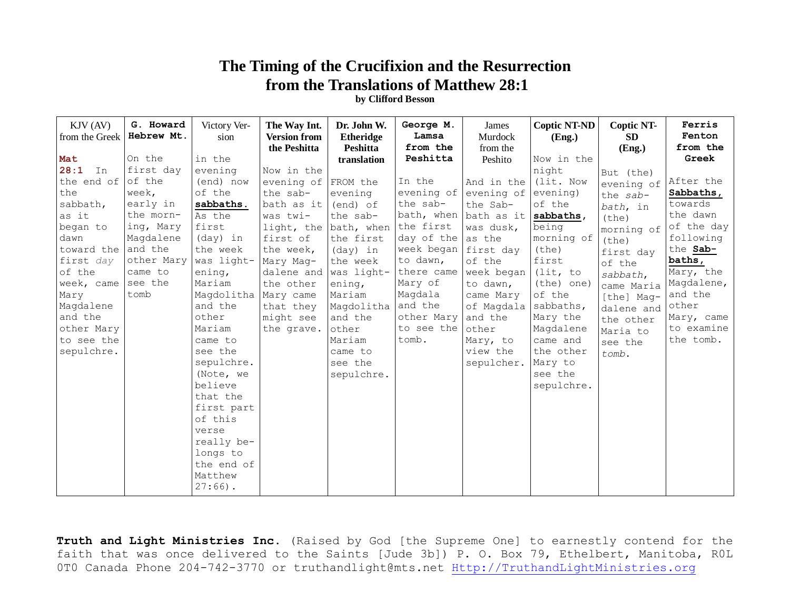## **The Timing of the Crucifixion and the Resurrection from the Translations of Matthew 28:1**

**by Clifford Besson**

| $KJV$ (AV)<br>from the Greek | G. Howard<br>Hebrew Mt. | Victory Ver-<br>sion | The Way Int.<br><b>Version from</b><br>the Peshitta | Dr. John W.<br><b>Etheridge</b><br>Peshitta | George M.<br>Lamsa<br>from the | James<br>Murdock<br>from the | <b>Coptic NT-ND</b><br>(Eng.) | <b>Coptic NT-</b><br><b>SD</b><br>(Eng.) | Ferris<br>Fenton<br>from the |
|------------------------------|-------------------------|----------------------|-----------------------------------------------------|---------------------------------------------|--------------------------------|------------------------------|-------------------------------|------------------------------------------|------------------------------|
| Mat                          | On the                  | in the               |                                                     | translation                                 | Peshitta                       | Peshito                      | Now in the                    |                                          | Greek                        |
| 28:1<br>In                   | first day               | evening              | Now in the                                          |                                             |                                |                              | night                         | But (the)                                |                              |
| the end of                   | of the                  | (end) now            | evening of $FROM$ the                               |                                             | In the                         | And in the                   | (lit. Now                     | evening of                               | After the                    |
| the                          | week,                   | of the               | the sab-                                            | evening                                     | evening of                     | evening of                   | evening)                      | the sab-                                 | Sabbaths,                    |
| sabbath,                     | early in                | sabbaths.            | bath as it                                          | (end) of                                    | the sab-                       | the Sab-                     | of the                        | bath, in                                 | towards                      |
| as it                        | the morn-               | As the               | was twi-                                            | the sab-                                    |                                | bath, when bath as it        | sabbaths,                     | (the)                                    | the dawn                     |
| began to                     | ing, Mary               | first                | light, the bath, when                               |                                             | the first                      | was dusk,                    | being                         | morning of                               | of the day                   |
| dawn                         | Magdalene               | $(day)$ in           | first of                                            | the first                                   | day of the                     | as the                       | morning of                    | (the)                                    | following                    |
| toward the                   | and the                 | the week             | the week,                                           | (day) in                                    | week began first day           |                              | (the)                         | first day                                | the Sab-                     |
| first day                    | other Mary              | was light-           | Mary Mag-                                           | the week                                    | to dawn,                       | of the                       | first                         | of the                                   | baths,                       |
| of the                       | came to                 | ening,               | dalene and                                          | was light-                                  | there came                     | week began                   | (lit, to                      | sabbath,                                 | Mary, the                    |
| week, came                   | see the                 | Mariam               | the other                                           | ening,                                      | Mary of                        | to dawn,                     | (the) one)                    | came Maria                               | Magdalene,                   |
| Mary                         | tomb                    | Magdolitha           | Mary came                                           | Mariam                                      | Magdala                        | came Mary                    | of the                        | [the] Mag-                               | and the                      |
| Magdalene                    |                         | and the              | that they                                           | Magdolitha                                  | and the                        | of Magdala                   | sabbaths,                     | dalene and                               | other                        |
| and the                      |                         | other                | might see                                           | and the                                     | other Mary                     | and the                      | Mary the                      | the other                                | Mary, came                   |
| other Mary                   |                         | Mariam               | the grave.                                          | other                                       | to see the                     | other                        | Magdalene                     | Maria to                                 | to examine                   |
| to see the                   |                         | came to              |                                                     | Mariam                                      | tomb.                          | Mary, to                     | came and                      | see the                                  | the tomb.                    |
| sepulchre.                   |                         | see the              |                                                     | came to                                     |                                | view the                     | the other                     | tomb.                                    |                              |
|                              |                         | sepulchre.           |                                                     | see the                                     |                                | sepulcher.                   | Mary to                       |                                          |                              |
|                              |                         | (Note, we            |                                                     | sepulchre.                                  |                                |                              | see the                       |                                          |                              |
|                              |                         | believe              |                                                     |                                             |                                |                              | sepulchre.                    |                                          |                              |
|                              |                         | that the             |                                                     |                                             |                                |                              |                               |                                          |                              |
|                              |                         | first part           |                                                     |                                             |                                |                              |                               |                                          |                              |
|                              |                         | of this              |                                                     |                                             |                                |                              |                               |                                          |                              |
|                              |                         | verse                |                                                     |                                             |                                |                              |                               |                                          |                              |
|                              |                         | really be-           |                                                     |                                             |                                |                              |                               |                                          |                              |
|                              |                         | longs to             |                                                     |                                             |                                |                              |                               |                                          |                              |
|                              |                         | the end of           |                                                     |                                             |                                |                              |                               |                                          |                              |
|                              |                         | Matthew              |                                                     |                                             |                                |                              |                               |                                          |                              |
|                              |                         | $27:66$ ).           |                                                     |                                             |                                |                              |                               |                                          |                              |

**Truth and Light Ministries Inc.** (Raised by God [the Supreme One] to earnestly contend for the faith that was once delivered to the Saints [Jude 3b]) P. O. Box 79, Ethelbert, Manitoba, R0L 0T0 Canada Phone 204-742-3770 or truthandlight@mts.net [Http://TruthandLightMinistries.org](http://truthandlightministries.org/)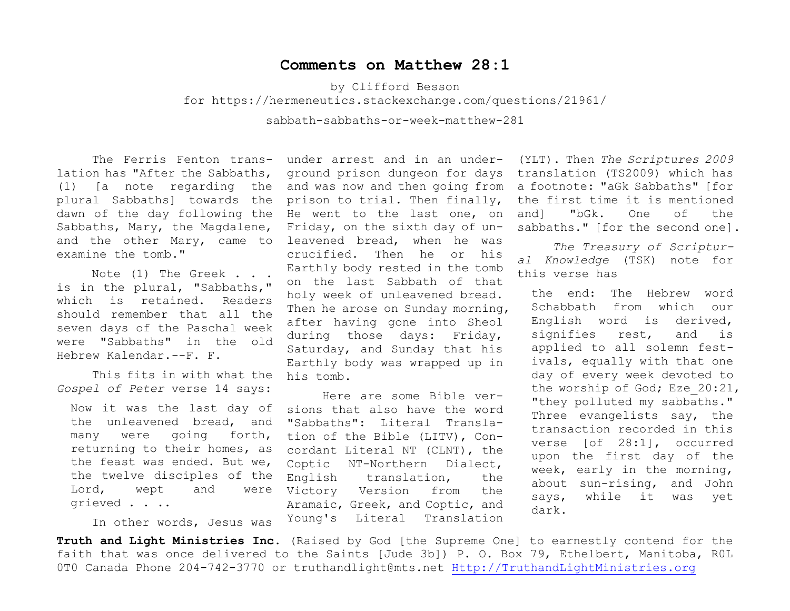## **Comments on Matthew 28:1**

by Clifford Besson

for<https://hermeneutics.stackexchange.com/questions/21961/>

sabbath-sabbaths-or-week-matthew-281

lation has "After the Sabbaths, plural Sabbaths] towards the Sabbaths, Mary, the Magdalene, examine the tomb."

Note (1) The Greek . . . is in the plural, "Sabbaths," which is retained. Readers should remember that all the seven days of the Paschal week were "Sabbaths" in the old Hebrew Kalendar.--F. F.

This fits in with what the *Gospel of Peter* verse 14 says:

Now it was the last day of the unleavened bread, and many were going forth, returning to their homes, as the feast was ended. But we, the twelve disciples of the Lord, wept and were grieved . . ..

In other words, Jesus was

The Ferris Fenton trans- under arrest and in an under-(1) [a note regarding the and was now and then going from a footnote: "aGk Sabbaths" [for dawn of the day following the He went to the last one, on and the other Mary, came to leavened bread, when he was ground prison dungeon for days prison to trial. Then finally, Friday, on the sixth day of uncrucified. Then he or his Earthly body rested in the tomb on the last Sabbath of that holy week of unleavened bread. Then he arose on Sunday morning, after having gone into Sheol during those days: Friday, Saturday, and Sunday that his Earthly body was wrapped up in his tomb.

> Here are some Bible versions that also have the word "Sabbaths": Literal Translation of the Bible (LITV), Concordant Literal NT (CLNT), the Coptic NT-Northern Dialect, English translation, the Victory Version from the Aramaic, Greek, and Coptic, and Young's Literal Translation

(YLT). Then *The Scriptures 2009* translation (TS2009) which has the first time it is mentioned and] "bGk. One of the sabbaths." [for the second one].

*The Treasury of Scriptural Knowledge* (TSK) note for this verse has

the end: The Hebrew word Schabbath from which our English word is derived, signifies rest, and is applied to all solemn festivals, equally with that one day of every week devoted to the worship of God; Eze 20:21, "they polluted my sabbaths." Three evangelists say, the transaction recorded in this verse [of 28:1], occurred upon the first day of the week, early in the morning, about sun-rising, and John says, while it was yet dark.

**Truth and Light Ministries Inc.** (Raised by God [the Supreme One] to earnestly contend for the faith that was once delivered to the Saints [Jude 3b]) P. O. Box 79, Ethelbert, Manitoba, R0L 0T0 Canada Phone 204-742-3770 or truthandlight@mts.net [Http://TruthandLightMinistries.org](http://truthandlightministries.org/)